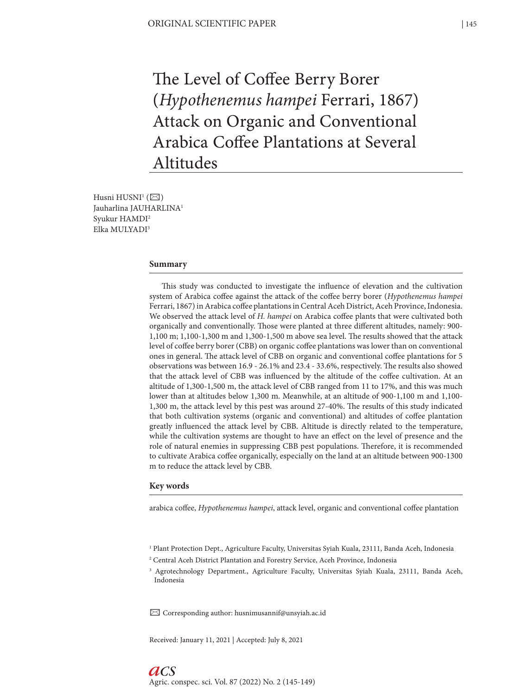The Level of Coffee Berry Borer (*Hypothenemus hampei* Ferrari, 1867) Attack on Organic and Conventional Arabica Coffee Plantations at Several Altitudes

Husni HUSNI $^1$  ( $\boxtimes$ ) Jauharlina JAUHARLINA1 Syukur HAMDI2 Elka MULYADI3

#### **Summary**

This study was conducted to investigate the influence of elevation and the cultivation system of Arabica coffee against the attack of the coffee berry borer (*Hypothenemus hampei* Ferrari, 1867) in Arabica coffee plantations in Central Aceh District, Aceh Province, Indonesia. We observed the attack level of *H. hampei* on Arabica coffee plants that were cultivated both organically and conventionally. Those were planted at three different altitudes, namely: 900- 1,100 m; 1,100-1,300 m and 1,300-1,500 m above sea level. The results showed that the attack level of coffee berry borer (CBB) on organic coffee plantations was lower than on conventional ones in general. The attack level of CBB on organic and conventional coffee plantations for 5 observations was between 16.9 - 26.1% and 23.4 - 33.6%, respectively. The results also showed that the attack level of CBB was influenced by the altitude of the coffee cultivation. At an altitude of 1,300-1,500 m, the attack level of CBB ranged from 11 to 17%, and this was much lower than at altitudes below 1,300 m. Meanwhile, at an altitude of 900-1,100 m and 1,100- 1,300 m, the attack level by this pest was around 27-40%. The results of this study indicated that both cultivation systems (organic and conventional) and altitudes of coffee plantation greatly influenced the attack level by CBB. Altitude is directly related to the temperature, while the cultivation systems are thought to have an effect on the level of presence and the role of natural enemies in suppressing CBB pest populations. Therefore, it is recommended to cultivate Arabica coffee organically, especially on the land at an altitude between 900-1300 m to reduce the attack level by CBB.

#### **Key words**

*aCS*

arabica coffee, *Hypothenemus hampei*, attack level, organic and conventional coffee plantation

<sup>2</sup> Central Aceh District Plantation and Forestry Service, Aceh Province, Indonesia

 $\boxtimes$  Corresponding author: husnimusannif@unsyiah.ac.id

Received: January 11, 2021 | Accepted: July 8, 2021

<sup>1</sup> Plant Protection Dept., Agriculture Faculty, Universitas Syiah Kuala, 23111, Banda Aceh, Indonesia

<sup>3</sup> Agrotechnology Department., Agriculture Faculty, Universitas Syiah Kuala, 23111, Banda Aceh, Indonesia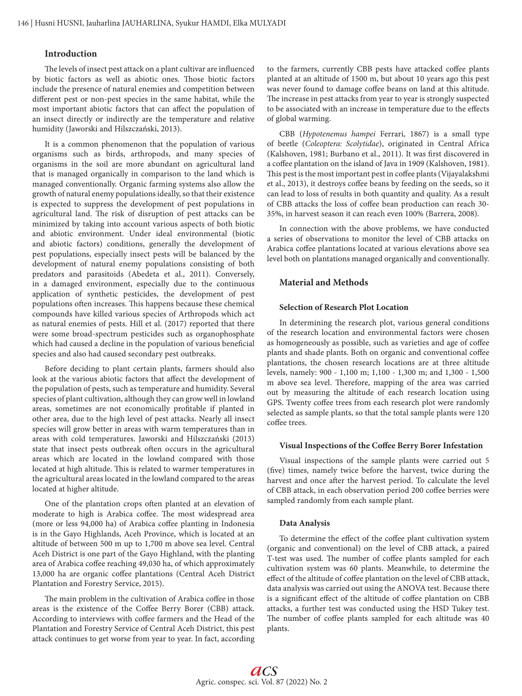## **Introduction**

The levels of insect pest attack on a plant cultivar are influenced by biotic factors as well as abiotic ones. Those biotic factors include the presence of natural enemies and competition between different pest or non-pest species in the same habitat, while the most important abiotic factors that can affect the population of an insect directly or indirectly are the temperature and relative humidity (Jaworski and Hilszczański, 2013).

It is a common phenomenon that the population of various organisms such as birds, arthropods, and many species of organisms in the soil are more abundant on agricultural land that is managed organically in comparison to the land which is managed conventionally. Organic farming systems also allow the growth of natural enemy populations ideally, so that their existence is expected to suppress the development of pest populations in agricultural land. The risk of disruption of pest attacks can be minimized by taking into account various aspects of both biotic and abiotic environment. Under ideal environmental (biotic and abiotic factors) conditions, generally the development of pest populations, especially insect pests will be balanced by the development of natural enemy populations consisting of both predators and parasitoids (Abedeta et al., 2011). Conversely, in a damaged environment, especially due to the continuous application of synthetic pesticides, the development of pest populations often increases. This happens because these chemical compounds have killed various species of Arthropods which act as natural enemies of pests. Hill et al. (2017) reported that there were some broad-spectrum pesticides such as organophosphate which had caused a decline in the population of various beneficial species and also had caused secondary pest outbreaks.

Before deciding to plant certain plants, farmers should also look at the various abiotic factors that affect the development of the population of pests, such as temperature and humidity. Several species of plant cultivation, although they can grow well in lowland areas, sometimes are not economically profitable if planted in other area, due to the high level of pest attacks. Nearly all insect species will grow better in areas with warm temperatures than in areas with cold temperatures. Jaworski and Hilszczański (2013) state that insect pests outbreak often occurs in the agricultural areas which are located in the lowland compared with those located at high altitude. This is related to warmer temperatures in the agricultural areas located in the lowland compared to the areas located at higher altitude.

One of the plantation crops often planted at an elevation of moderate to high is Arabica coffee. The most widespread area (more or less 94,000 ha) of Arabica coffee planting in Indonesia is in the Gayo Highlands, Aceh Province, which is located at an altitude of between 500 m up to 1,700 m above sea level. Central Aceh District is one part of the Gayo Highland, with the planting area of Arabica coffee reaching 49,030 ha, of which approximately 13,000 ha are organic coffee plantations (Central Aceh District Plantation and Forestry Service, 2015).

The main problem in the cultivation of Arabica coffee in those areas is the existence of the Coffee Berry Borer (CBB) attack. According to interviews with coffee farmers and the Head of the Plantation and Forestry Service of Central Aceh District, this pest attack continues to get worse from year to year. In fact, according to the farmers, currently CBB pests have attacked coffee plants planted at an altitude of 1500 m, but about 10 years ago this pest was never found to damage coffee beans on land at this altitude. The increase in pest attacks from year to year is strongly suspected to be associated with an increase in temperature due to the effects of global warming.

CBB (*Hypotenemus hampei* Ferrari, 1867) is a small type of beetle (*Coleoptera: Scolytidae*), originated in Central Africa (Kalshoven, 1981; Burbano et al., 2011). It was first discovered in a coffee plantation on the island of Java in 1909 (Kalshoven, 1981). This pest is the most important pest in coffee plants (Vijayalakshmi et al., 2013), it destroys coffee beans by feeding on the seeds, so it can lead to loss of results in both quantity and quality. As a result of CBB attacks the loss of coffee bean production can reach 30- 35%, in harvest season it can reach even 100% (Barrera, 2008).

In connection with the above problems, we have conducted a series of observations to monitor the level of CBB attacks on Arabica coffee plantations located at various elevations above sea level both on plantations managed organically and conventionally.

## **Material and Methods**

### **Selection of Research Plot Location**

In determining the research plot, various general conditions of the research location and environmental factors were chosen as homogeneously as possible, such as varieties and age of coffee plants and shade plants. Both on organic and conventional coffee plantations, the chosen research locations are at three altitude levels, namely: 900 - 1,100 m; 1,100 - 1,300 m; and 1,300 - 1,500 m above sea level. Therefore, mapping of the area was carried out by measuring the altitude of each research location using GPS. Twenty coffee trees from each research plot were randomly selected as sample plants, so that the total sample plants were 120 coffee trees.

#### **Visual Inspections of the Coffee Berry Borer Infestation**

Visual inspections of the sample plants were carried out 5 (five) times, namely twice before the harvest, twice during the harvest and once after the harvest period. To calculate the level of CBB attack, in each observation period 200 coffee berries were sampled randomly from each sample plant.

#### **Data Analysis**

To determine the effect of the coffee plant cultivation system (organic and conventional) on the level of CBB attack, a paired T-test was used. The number of coffee plants sampled for each cultivation system was 60 plants. Meanwhile, to determine the effect of the altitude of coffee plantation on the level of CBB attack, data analysis was carried out using the ANOVA test. Because there is a significant effect of the altitude of coffee plantation on CBB attacks, a further test was conducted using the HSD Tukey test. The number of coffee plants sampled for each altitude was 40 plants.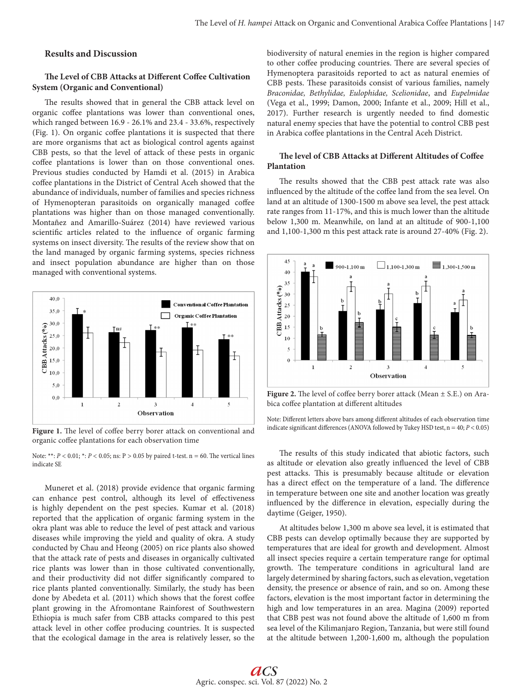## **Results and Discussion**

### **The Level of CBB Attacks at Different Coffee Cultivation System (Organic and Conventional)**

The results showed that in general the CBB attack level on organic coffee plantations was lower than conventional ones, which ranged between 16.9 - 26.1% and 23.4 - 33.6%, respectively (Fig. 1). On organic coffee plantations it is suspected that there are more organisms that act as biological control agents against CBB pests, so that the level of attack of these pests in organic coffee plantations is lower than on those conventional ones. Previous studies conducted by Hamdi et al. (2015) in Arabica coffee plantations in the District of Central Aceh showed that the abundance of individuals, number of families and species richness of Hymenopteran parasitoids on organically managed coffee plantations was higher than on those managed conventionally. Montañez and Amarillo-Suárez (2014) have reviewed various scientific articles related to the influence of organic farming systems on insect diversity. The results of the review show that on the land managed by organic farming systems, species richness and insect population abundance are higher than on those managed with conventional systems.



**Figure 1.** The level of coffee berry borer attack on conventional and organic coffee plantations for each observation time

Note: \*\*: *P* < 0.01; \*: *P* < 0.05; ns: P > 0.05 by paired t-test. n = 60. The vertical lines indicate SE

Muneret et al. (2018) provide evidence that organic farming can enhance pest control, although its level of effectiveness is highly dependent on the pest species. Kumar et al. (2018) reported that the application of organic farming system in the okra plant was able to reduce the level of pest attack and various diseases while improving the yield and quality of okra. A study conducted by Chau and Heong (2005) on rice plants also showed that the attack rate of pests and diseases in organically cultivated rice plants was lower than in those cultivated conventionally, and their productivity did not differ significantly compared to rice plants planted conventionally. Similarly, the study has been done by Abedeta et al. (2011) which shows that the forest coffee plant growing in the Afromontane Rainforest of Southwestern Ethiopia is much safer from CBB attacks compared to this pest attack level in other coffee producing countries. It is suspected that the ecological damage in the area is relatively lesser, so the biodiversity of natural enemies in the region is higher compared to other coffee producing countries. There are several species of Hymenoptera parasitoids reported to act as natural enemies of CBB pests. These parasitoids consist of various families, namely *Braconidae, Bethylidae, Eulophidae, Scelionidae*, and *Eupelmidae* (Vega et al., 1999; Damon, 2000; Infante et al., 2009; Hill et al., 2017). Further research is urgently needed to find domestic natural enemy species that have the potential to control CBB pest in Arabica coffee plantations in the Central Aceh District.

## **The level of CBB Attacks at Different Altitudes of Coffee Plantation**

The results showed that the CBB pest attack rate was also influenced by the altitude of the coffee land from the sea level. On land at an altitude of 1300-1500 m above sea level, the pest attack rate ranges from 11-17%, and this is much lower than the altitude below 1,300 m. Meanwhile, on land at an altitude of 900-1,100 and 1,100-1,300 m this pest attack rate is around 27-40% (Fig. 2).



**Figure 2.** The level of coffee berry borer attack (Mean ± S.E.) on Arabica coffee plantation at different altitudes

Note: Different letters above bars among different altitudes of each observation time indicate significant differences (ANOVA followed by Tukey HSD test, n = 40; *P* < 0.05)

The results of this study indicated that abiotic factors, such as altitude or elevation also greatly influenced the level of CBB pest attacks. This is presumably because altitude or elevation has a direct effect on the temperature of a land. The difference in temperature between one site and another location was greatly influenced by the difference in elevation, especially during the daytime (Geiger, 1950).

At altitudes below 1,300 m above sea level, it is estimated that CBB pests can develop optimally because they are supported by temperatures that are ideal for growth and development. Almost all insect species require a certain temperature range for optimal growth. The temperature conditions in agricultural land are largely determined by sharing factors, such as elevation, vegetation density, the presence or absence of rain, and so on. Among these factors, elevation is the most important factor in determining the high and low temperatures in an area. Magina (2009) reported that CBB pest was not found above the altitude of 1,600 m from sea level of the Kilimanjaro Region, Tanzania, but were still found at the altitude between 1,200-1,600 m, although the population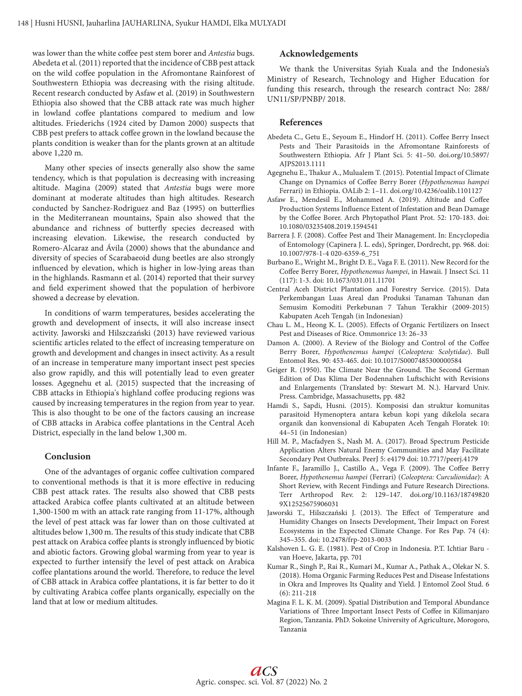was lower than the white coffee pest stem borer and *Antestia* bugs. Abedeta et al. (2011) reported that the incidence of CBB pest attack on the wild coffee population in the Afromontane Rainforest of Southwestern Ethiopia was decreasing with the rising altitude. Recent research conducted by Asfaw et al. (2019) in Southwestern Ethiopia also showed that the CBB attack rate was much higher in lowland coffee plantations compared to medium and low altitudes. Friederichs (1924 cited by Damon 2000) suspects that CBB pest prefers to attack coffee grown in the lowland because the plants condition is weaker than for the plants grown at an altitude above 1,220 m.

Many other species of insects generally also show the same tendency, which is that population is decreasing with increasing altitude. Magina (2009) stated that *Antestia* bugs were more dominant at moderate altitudes than high altitudes. Research conducted by Sanchez-Rodriguez and Baz (1995) on butterflies in the Mediterranean mountains, Spain also showed that the abundance and richness of butterfly species decreased with increasing elevation. Likewise, the research conducted by Romero-Alcaraz and Ávila (2000) shows that the abundance and diversity of species of Scarabaeoid dung beetles are also strongly influenced by elevation, which is higher in low-lying areas than in the highlands. Rasmann et al. (2014) reported that their survey and field experiment showed that the population of herbivore showed a decrease by elevation.

In conditions of warm temperatures, besides accelerating the growth and development of insects, it will also increase insect activity. Jaworski and Hilszczański (2013) have reviewed various scientific articles related to the effect of increasing temperature on growth and development and changes in insect activity. As a result of an increase in temperature many important insect pest species also grow rapidly, and this will potentially lead to even greater losses. Agegnehu et al. (2015) suspected that the increasing of CBB attacks in Ethiopia's highland coffee producing regions was caused by increasing temperatures in the region from year to year. This is also thought to be one of the factors causing an increase of CBB attacks in Arabica coffee plantations in the Central Aceh District, especially in the land below 1,300 m.

### **Conclusion**

One of the advantages of organic coffee cultivation compared to conventional methods is that it is more effective in reducing CBB pest attack rates. The results also showed that CBB pests attacked Arabica coffee plants cultivated at an altitude between 1,300-1500 m with an attack rate ranging from 11-17%, although the level of pest attack was far lower than on those cultivated at altitudes below 1,300 m. The results of this study indicate that CBB pest attack on Arabica coffee plants is strongly influenced by biotic and abiotic factors. Growing global warming from year to year is expected to further intensify the level of pest attack on Arabica coffee plantations around the world. Therefore, to reduce the level of CBB attack in Arabica coffee plantations, it is far better to do it by cultivating Arabica coffee plants organically, especially on the land that at low or medium altitudes.

# **Acknowledgements**

We thank the Universitas Syiah Kuala and the Indonesia's Ministry of Research, Technology and Higher Education for funding this research, through the research contract No: 288/ UN11/SP/PNBP/ 2018.

#### **References**

- Abedeta C., Getu E., Seyoum E., Hindorf H. (2011). Coffee Berry Insect Pests and Their Parasitoids in the Afromontane Rainforests of Southwestern Ethiopia. Afr J Plant Sci. 5: 41–50. doi.org/10.5897/ AJPS2013.1111
- Agegnehu E., Thakur A., Mulualem T. (2015). Potential Impact of Climate Change on Dynamics of Coffee Berry Borer (*Hypothenemus hampei* Ferrari) in Ethiopia. OALib 2: 1–11. doi.org/10.4236/oalib.1101127
- Asfaw E., Mendesil E., Mohammed A. (2019). Altitude and Coffee Production Systems Influence Extent of Infestation and Bean Damage by the Coffee Borer. Arch Phytopathol Plant Prot. 52: 170-183. doi: 10.1080/03235408.2019.1594541
- Barrera J. F. (2008). Coffee Pest and Their Management. In: Encyclopedia of Entomology (Capinera J. L. eds), Springer, Dordrecht, pp. 968. doi: 10.1007/978-1-4 020-6359-6\_751
- Burbano E., Wright M., Bright D. E., Vaga F. E. (2011). New Record for the Coffee Berry Borer, *Hypothenemus hampei*, in Hawaii. J Insect Sci. 11 (117): 1-3. doi: 10.1673/031.011.11701
- Central Aceh District Plantation and Forestry Service. (2015). Data Perkembangan Luas Areal dan Produksi Tanaman Tahunan dan Semusim Komoditi Perkebunan 7 Tahun Terakhir (2009-2015) Kabupaten Aceh Tengah (in Indonesian)
- Chau L. M., Heong K. L. (2005). Effects of Organic Fertilizers on Insect Pest and Diseases of Rice. Ommonrice 13: 26–33
- Damon A. (2000). A Review of the Biology and Control of the Coffee Berry Borer, *Hypothenemus hampei* (*Coleoptera: Scolytidae*). Bull Entomol Res. 90: 453-465. doi: 10.1017/S0007485300000584
- Geiger R. (1950). The Climate Near the Ground. The Second German Edition of Das Klima Der Bodennahen Luftschicht with Revisions and Enlargements (Translated by: Stewart M. N.). Harvard Univ. Press. Cambridge, Massachusetts, pp. 482
- Hamdi S., Sapdi, Husni. (2015). Komposisi dan struktur komunitas parasitoid Hymenoptera antara kebun kopi yang dikelola secara organik dan konvensional di Kabupaten Aceh Tengah Floratek 10: 44–51 (in Indonesian)
- Hill M. P., Macfadyen S., Nash M. A. (2017). Broad Spectrum Pesticide Application Alters Natural Enemy Communities and May Facilitate Secondary Pest Outbreaks. PeerJ 5: e4179 doi: 10.7717/peerj.4179
- Infante F., Jaramillo J., Castillo A., Vega F. (2009). The Coffee Berry Borer, *Hypothenemus hampei* (Ferrari) (*Coleoptera: Curculionidae*): A Short Review, with Recent Findings and Future Research Directions. Terr Arthropod Rev. 2: 129–147. doi.org/10.1163/18749820 9X12525675906031
- Jaworski T., Hilszczański J. (2013). The Effect of Temperature and Humidity Changes on Insects Development, Their Impact on Forest Ecosystems in the Expected Climate Change. For Res Pap. 74 (4): 345–355. doi: 10.2478/frp-2013-0033
- Kalshoven L. G. E. (1981). Pest of Crop in Indonesia. P.T. Ichtiar Baru van Hoeve, Jakarta, pp. 701
- Kumar R., Singh P., Rai R., Kumari M., Kumar A., Pathak A., Olekar N. S. (2018). Homa Organic Farming Reduces Pest and Disease Infestations in Okra and Improves Its Quality and Yield. J Entomol Zool Stud. 6 (6): 211-218
- Magina F. L. K. M. (2009). Spatial Distribution and Temporal Abundance Variations of Three Important Insect Pests of Coffee in Kilimanjaro Region, Tanzania. PhD. Sokoine University of Agriculture, Morogoro, Tanzania